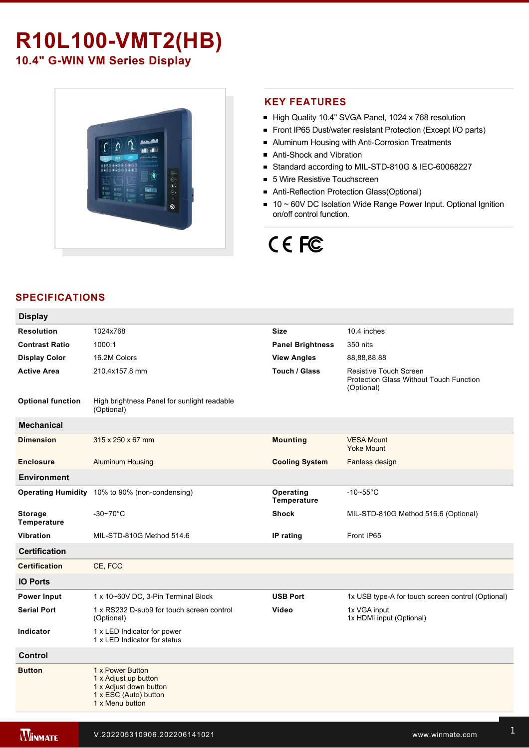# **R10L100-VMT2(HB)**

**10.4" G-WIN VM Series Display** 



# **KEY FEATURES**

- High Quality 10.4" SVGA Panel, 1024 x 768 resolution
- Front IP65 Dust/water resistant Protection (Except I/O parts)
- Aluminum Housing with Anti-Corrosion Treatments
- Anti-Shock and Vibration
- Standard according to MIL-STD-810G & IEC-60068227
- 5 Wire Resistive Touchscreen
- Anti-Reflection Protection Glass(Optional)
- 10 ~ 60V DC Isolation Wide Range Power Input. Optional Ignition on/off control function.

# CE FC

# **SPECIFICATIONS**

| <b>Display</b>                       |                                                                                                                |                          |                                                                                               |
|--------------------------------------|----------------------------------------------------------------------------------------------------------------|--------------------------|-----------------------------------------------------------------------------------------------|
| <b>Resolution</b>                    | 1024x768                                                                                                       | <b>Size</b>              | 10.4 inches                                                                                   |
| <b>Contrast Ratio</b>                | 1000:1                                                                                                         | <b>Panel Brightness</b>  | 350 nits                                                                                      |
| <b>Display Color</b>                 | 16.2M Colors                                                                                                   | <b>View Angles</b>       | 88,88,88,88                                                                                   |
| <b>Active Area</b>                   | 210.4x157.8 mm                                                                                                 | Touch / Glass            | <b>Resistive Touch Screen</b><br><b>Protection Glass Without Touch Function</b><br>(Optional) |
| <b>Optional function</b>             | High brightness Panel for sunlight readable<br>(Optional)                                                      |                          |                                                                                               |
| <b>Mechanical</b>                    |                                                                                                                |                          |                                                                                               |
| <b>Dimension</b>                     | 315 x 250 x 67 mm                                                                                              | <b>Mounting</b>          | <b>VESA Mount</b><br><b>Yoke Mount</b>                                                        |
| <b>Enclosure</b>                     | <b>Aluminum Housing</b>                                                                                        | <b>Cooling System</b>    | Fanless design                                                                                |
| <b>Environment</b>                   |                                                                                                                |                          |                                                                                               |
|                                      | Operating Humidity 10% to 90% (non-condensing)                                                                 | Operating<br>Temperature | $-10-55$ °C                                                                                   |
| <b>Storage</b><br><b>Temperature</b> | $-30-70$ °C                                                                                                    | <b>Shock</b>             | MIL-STD-810G Method 516.6 (Optional)                                                          |
| <b>Vibration</b>                     | MIL-STD-810G Method 514.6                                                                                      | IP rating                | Front IP65                                                                                    |
| <b>Certification</b>                 |                                                                                                                |                          |                                                                                               |
| <b>Certification</b>                 | CE, FCC                                                                                                        |                          |                                                                                               |
| <b>IO Ports</b>                      |                                                                                                                |                          |                                                                                               |
| <b>Power Input</b>                   | 1 x 10~60V DC, 3-Pin Terminal Block                                                                            | <b>USB Port</b>          | 1x USB type-A for touch screen control (Optional)                                             |
| <b>Serial Port</b>                   | 1 x RS232 D-sub9 for touch screen control<br>(Optional)                                                        | Video                    | 1x VGA input<br>1x HDMI input (Optional)                                                      |
| Indicator                            | 1 x LED Indicator for power<br>1 x LED Indicator for status                                                    |                          |                                                                                               |
| <b>Control</b>                       |                                                                                                                |                          |                                                                                               |
| <b>Button</b>                        | 1 x Power Button<br>1 x Adjust up button<br>1 x Adjust down button<br>1 x ESC (Auto) button<br>1 x Menu button |                          |                                                                                               |